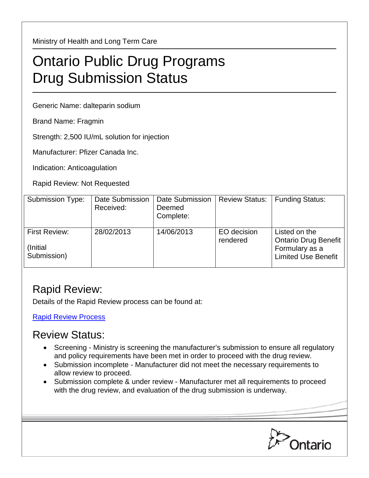Ministry of Health and Long Term Care

## Ontario Public Drug Programs Drug Submission Status

Generic Name: dalteparin sodium

Brand Name: Fragmin

Strength: 2,500 IU/mL solution for injection

Manufacturer: Pfizer Canada Inc.

Indication: Anticoagulation

Rapid Review: Not Requested

| <b>Submission Type:</b>                   | Date Submission<br>Received: | Date Submission<br>Deemed<br>Complete: | <b>Review Status:</b>   | <b>Funding Status:</b>                                                                       |
|-------------------------------------------|------------------------------|----------------------------------------|-------------------------|----------------------------------------------------------------------------------------------|
| First Review:<br>(Initial)<br>Submission) | 28/02/2013                   | 14/06/2013                             | EO decision<br>rendered | Listed on the<br><b>Ontario Drug Benefit</b><br>Formulary as a<br><b>Limited Use Benefit</b> |

## Rapid Review:

Details of the Rapid Review process can be found at:

[Rapid Review Process](http://www.health.gov.on.ca/en/pro/programs/drugs/drug_submissions/rapid_review_process.aspx)

## Review Status:

- Screening Ministry is screening the manufacturer's submission to ensure all regulatory and policy requirements have been met in order to proceed with the drug review.
- Submission incomplete Manufacturer did not meet the necessary requirements to allow review to proceed.
- Submission complete & under review Manufacturer met all requirements to proceed with the drug review, and evaluation of the drug submission is underway.